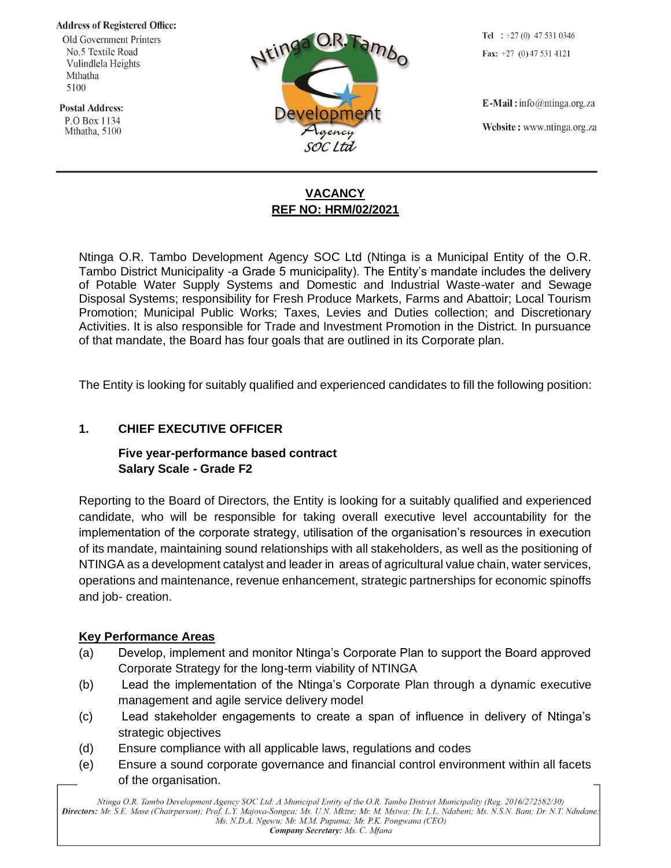**Address of Registered Office:** 

Old Government Printers No.5 Textile Road Vulindlela Heights Mthatha 5100

**Postal Address:** P.O Box 1134 Mthatha, 5100



Tel :  $+27(0)$  47 531 0346 Fax:  $+27$  (0) 47 531 4121

 $E$ -Mail: info@ntinga.org.za Website: www.ntinga.org.za

# **VACANCY REF NO: HRM/02/2021**

Ntinga O.R. Tambo Development Agency SOC Ltd (Ntinga is a Municipal Entity of the O.R. Tambo District Municipality -a Grade 5 municipality). The Entity's mandate includes the delivery of Potable Water Supply Systems and Domestic and Industrial Waste-water and Sewage Disposal Systems; responsibility for Fresh Produce Markets, Farms and Abattoir; Local Tourism Promotion; Municipal Public Works; Taxes, Levies and Duties collection; and Discretionary Activities. It is also responsible for Trade and Investment Promotion in the District. In pursuance of that mandate, the Board has four goals that are outlined in its Corporate plan.

The Entity is looking for suitably qualified and experienced candidates to fill the following position:

### **1. CHIEF EXECUTIVE OFFICER**

# **Five year-performance based contract Salary Scale - Grade F2**

Reporting to the Board of Directors, the Entity is looking for a suitably qualified and experienced candidate, who will be responsible for taking overall executive level accountability for the implementation of the corporate strategy, utilisation of the organisation's resources in execution of its mandate, maintaining sound relationships with all stakeholders, as well as the positioning of NTINGA as a development catalyst and leader in areas of agricultural value chain, water services, operations and maintenance, revenue enhancement, strategic partnerships for economic spinoffs and job- creation.

#### **Key Performance Areas**

- (a) Develop, implement and monitor Ntinga's Corporate Plan to support the Board approved Corporate Strategy for the long-term viability of NTINGA
- (b) Lead the implementation of the Ntinga's Corporate Plan through a dynamic executive management and agile service delivery model
- (c) Lead stakeholder engagements to create a span of influence in delivery of Ntinga's strategic objectives
- (d) Ensure compliance with all applicable laws, regulations and codes
- (e) Ensure a sound corporate governance and financial control environment within all facets of the organisation.

Ntinga O.R. Tambo Development Agency SOC Ltd: A Municipal Entity of the O.R. Tambo District Municipality (Reg. 2016/272582/30) Directors: Mr. S.E. Mase (Chairperson); Prof. L.Y. Majova-Songca; Ms. U.N. Mkize; Mr. M. Msiwa; Dr. L.L. Ndabeni; Ms. N.S.N. Bam; Dr. N.T. Ndudane; Ms. N.D.A. Ngewu; Mr. M.M. Pupuma; Mr. P.K. Pongwana (CEO) Company Secretary: Ms. C. Mfana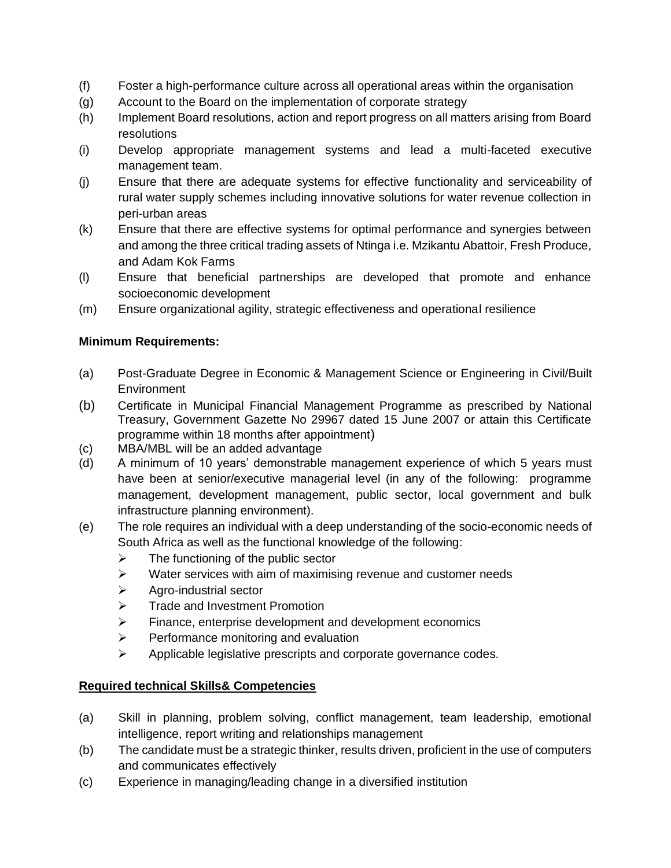- (f) Foster a high-performance culture across all operational areas within the organisation
- (g) Account to the Board on the implementation of corporate strategy
- (h) Implement Board resolutions, action and report progress on all matters arising from Board resolutions
- (i) Develop appropriate management systems and lead a multi-faceted executive management team.
- (j) Ensure that there are adequate systems for effective functionality and serviceability of rural water supply schemes including innovative solutions for water revenue collection in peri-urban areas
- (k) Ensure that there are effective systems for optimal performance and synergies between and among the three critical trading assets of Ntinga i.e. Mzikantu Abattoir, Fresh Produce, and Adam Kok Farms
- (l) Ensure that beneficial partnerships are developed that promote and enhance socioeconomic development
- (m) Ensure organizational agility, strategic effectiveness and operational resilience

### **Minimum Requirements:**

- (a) Post-Graduate Degree in Economic & Management Science or Engineering in Civil/Built Environment
- (b) Certificate in Municipal Financial Management Programme as prescribed by National Treasury, Government Gazette No 29967 dated 15 June 2007 or attain this Certificate programme within 18 months after appointment)
- (c) MBA/MBL will be an added advantage
- (d) A minimum of 10 years' demonstrable management experience of which 5 years must have been at senior/executive managerial level (in any of the following: programme management, development management, public sector, local government and bulk infrastructure planning environment).
- (e) The role requires an individual with a deep understanding of the socio-economic needs of South Africa as well as the functional knowledge of the following:
	- $\triangleright$  The functioning of the public sector
	- ➢ Water services with aim of maximising revenue and customer needs
	- ➢ Agro-industrial sector
	- ➢ Trade and Investment Promotion
	- ➢ Finance, enterprise development and development economics
	- ➢ Performance monitoring and evaluation
	- ➢ Applicable legislative prescripts and corporate governance codes.

# **Required technical Skills& Competencies**

- (a) Skill in planning, problem solving, conflict management, team leadership, emotional intelligence, report writing and relationships management
- (b) The candidate must be a strategic thinker, results driven, proficient in the use of computers and communicates effectively
- (c) Experience in managing/leading change in a diversified institution